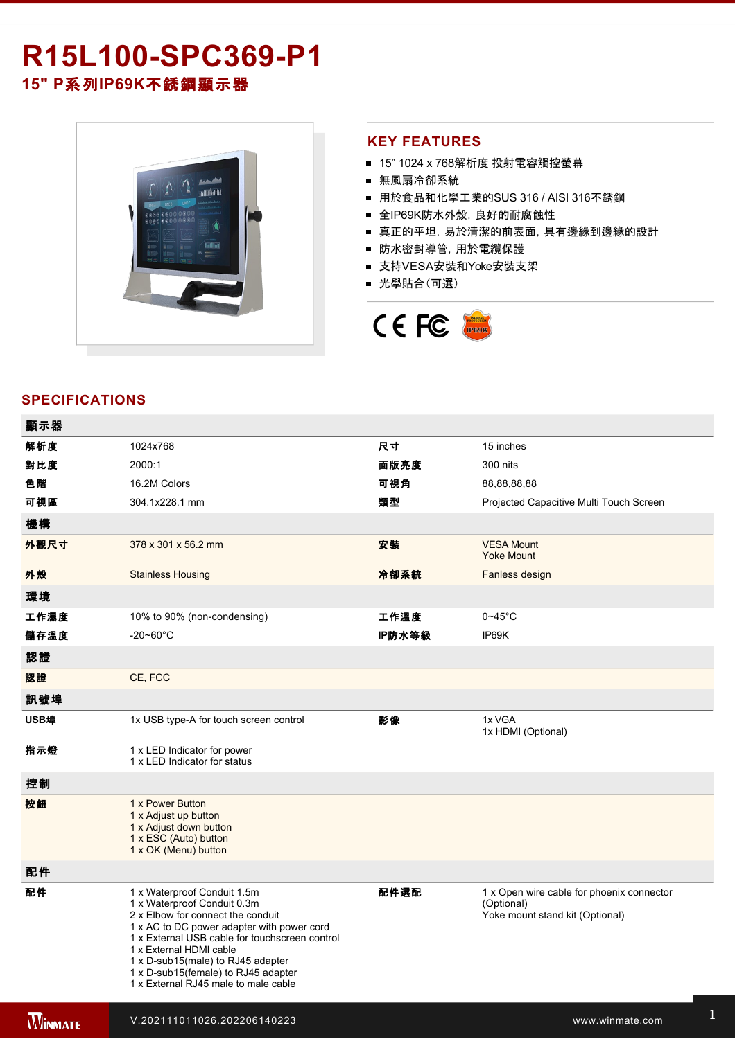# R15L100-SPC369-P1 **15" P**系列**IP69K**不銹鋼顯示器



### **KEY FEATURES**

- 15" 1024 x 768解析度 投射電容觸控螢幕
- 無風扇冷卻系統
- 用於食品和化學工業的SUS 316 / AISI 316不銹鋼
- 全IP69K防水外殼, 良好的耐腐蝕性
- 真正的平坦,易於清潔的前表面,具有邊緣到邊緣的設計
- 防水密封導管,用於電纜保護
- 支持VESA安裝和Yoke安裝支架
- 光學貼合(可選)



### **SPECIFICATIONS**

| 顯示器  |                                                                                                                                                                                                                                                                                                                                                |        |                                                                                            |
|------|------------------------------------------------------------------------------------------------------------------------------------------------------------------------------------------------------------------------------------------------------------------------------------------------------------------------------------------------|--------|--------------------------------------------------------------------------------------------|
| 解析度  | 1024x768                                                                                                                                                                                                                                                                                                                                       | 尺寸     | 15 inches                                                                                  |
| 對比度  | 2000:1                                                                                                                                                                                                                                                                                                                                         | 面版亮度   | 300 nits                                                                                   |
| 色階   | 16.2M Colors                                                                                                                                                                                                                                                                                                                                   | 可視角    | 88,88,88,88                                                                                |
| 可視區  | 304.1x228.1 mm                                                                                                                                                                                                                                                                                                                                 | 類型     | Projected Capacitive Multi Touch Screen                                                    |
| 機構   |                                                                                                                                                                                                                                                                                                                                                |        |                                                                                            |
| 外觀尺寸 | 378 x 301 x 56.2 mm                                                                                                                                                                                                                                                                                                                            | 安装     | <b>VESA Mount</b><br><b>Yoke Mount</b>                                                     |
| 外殼   | <b>Stainless Housing</b>                                                                                                                                                                                                                                                                                                                       | 冷卻系統   | Fanless design                                                                             |
| 環境   |                                                                                                                                                                                                                                                                                                                                                |        |                                                                                            |
| 工作濕度 | 10% to 90% (non-condensing)                                                                                                                                                                                                                                                                                                                    | 工作溫度   | $0 - 45$ °C                                                                                |
| 儲存溫度 | $-20 - 60^{\circ}$ C                                                                                                                                                                                                                                                                                                                           | IP防水等級 | IP69K                                                                                      |
| 認證   |                                                                                                                                                                                                                                                                                                                                                |        |                                                                                            |
| 認證   | CE, FCC                                                                                                                                                                                                                                                                                                                                        |        |                                                                                            |
| 訊號埠  |                                                                                                                                                                                                                                                                                                                                                |        |                                                                                            |
| USB埠 | 1x USB type-A for touch screen control                                                                                                                                                                                                                                                                                                         | 影像     | 1x VGA<br>1x HDMI (Optional)                                                               |
| 指示燈  | 1 x LED Indicator for power<br>1 x LED Indicator for status                                                                                                                                                                                                                                                                                    |        |                                                                                            |
| 控制   |                                                                                                                                                                                                                                                                                                                                                |        |                                                                                            |
| 按鈕   | 1 x Power Button<br>1 x Adjust up button<br>1 x Adjust down button<br>1 x ESC (Auto) button<br>1 x OK (Menu) button                                                                                                                                                                                                                            |        |                                                                                            |
| 配件   |                                                                                                                                                                                                                                                                                                                                                |        |                                                                                            |
| 配件   | 1 x Waterproof Conduit 1.5m<br>1 x Waterproof Conduit 0.3m<br>2 x Elbow for connect the conduit<br>1 x AC to DC power adapter with power cord<br>1 x External USB cable for touchscreen control<br>1 x External HDMI cable<br>1 x D-sub15(male) to RJ45 adapter<br>1 x D-sub15(female) to RJ45 adapter<br>1 x External RJ45 male to male cable | 配件選配   | 1 x Open wire cable for phoenix connector<br>(Optional)<br>Yoke mount stand kit (Optional) |